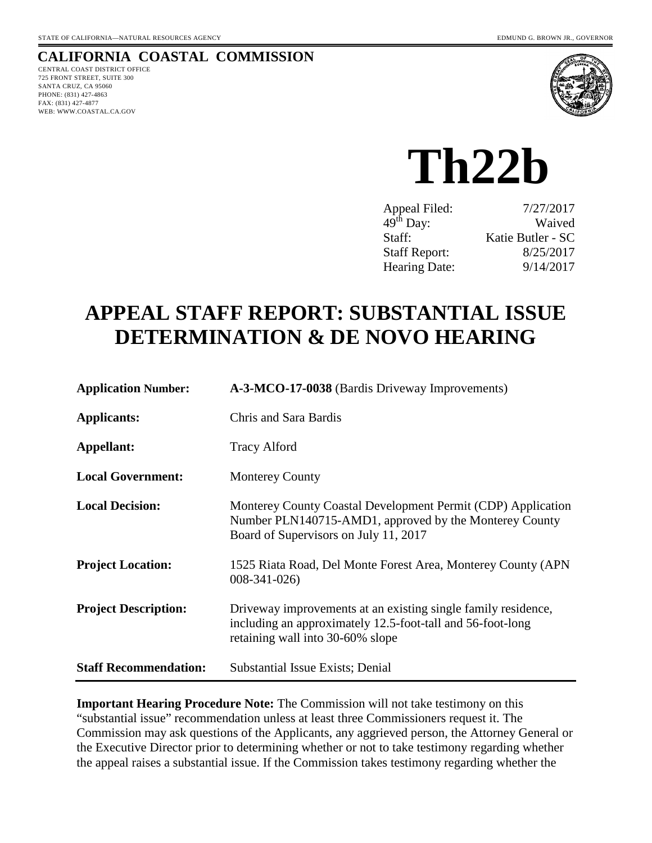# **CALIFORNIA COASTAL COMMISSION**

CENTRAL COAST DISTRICT OFFICE 725 FRONT STREET, SUITE 300 SANTA CRUZ, CA 95060 PHONE: (831) 427-4863 FAX: (831) 427-4877 WEB: WWW.COASTAL.CA.GOV



# **Th22b**

| 7/27/2017         |
|-------------------|
| Waived            |
| Katie Butler - SC |
| 8/25/2017         |
| 9/14/2017         |
|                   |

# **APPEAL STAFF REPORT: SUBSTANTIAL ISSUE DETERMINATION & DE NOVO HEARING**

| <b>Application Number:</b>   | A-3-MCO-17-0038 (Bardis Driveway Improvements)                                                                                                                  |
|------------------------------|-----------------------------------------------------------------------------------------------------------------------------------------------------------------|
| <b>Applicants:</b>           | Chris and Sara Bardis                                                                                                                                           |
| Appellant:                   | <b>Tracy Alford</b>                                                                                                                                             |
| <b>Local Government:</b>     | <b>Monterey County</b>                                                                                                                                          |
| <b>Local Decision:</b>       | Monterey County Coastal Development Permit (CDP) Application<br>Number PLN140715-AMD1, approved by the Monterey County<br>Board of Supervisors on July 11, 2017 |
| <b>Project Location:</b>     | 1525 Riata Road, Del Monte Forest Area, Monterey County (APN)<br>$008 - 341 - 026$                                                                              |
| <b>Project Description:</b>  | Driveway improvements at an existing single family residence,<br>including an approximately 12.5-foot-tall and 56-foot-long<br>retaining wall into 30-60% slope |
| <b>Staff Recommendation:</b> | <b>Substantial Issue Exists; Denial</b>                                                                                                                         |

**Important Hearing Procedure Note:** The Commission will not take testimony on this "substantial issue" recommendation unless at least three Commissioners request it. The Commission may ask questions of the Applicants, any aggrieved person, the Attorney General or the Executive Director prior to determining whether or not to take testimony regarding whether the appeal raises a substantial issue. If the Commission takes testimony regarding whether the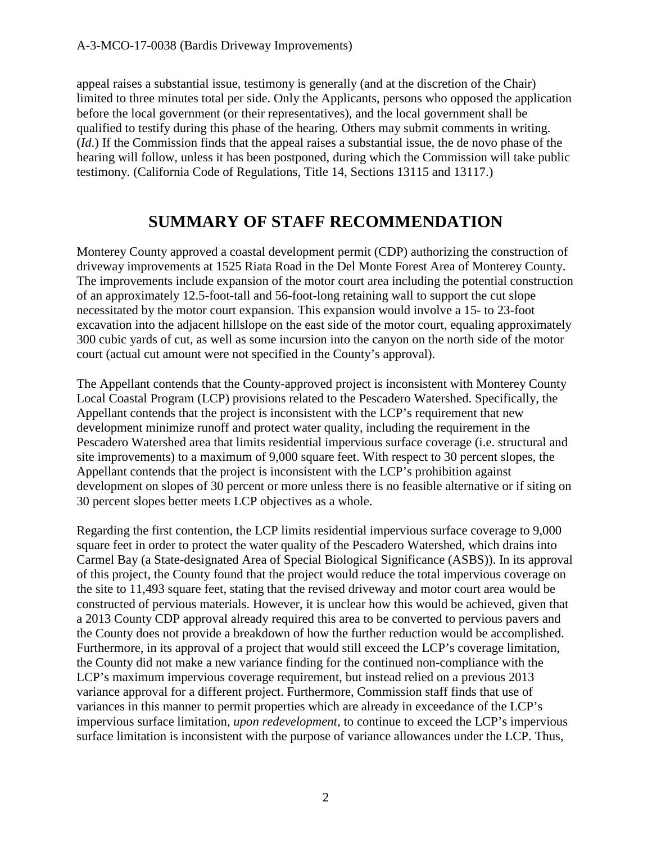appeal raises a substantial issue, testimony is generally (and at the discretion of the Chair) limited to three minutes total per side. Only the Applicants, persons who opposed the application before the local government (or their representatives), and the local government shall be qualified to testify during this phase of the hearing. Others may submit comments in writing. (*Id*.) If the Commission finds that the appeal raises a substantial issue, the de novo phase of the hearing will follow, unless it has been postponed, during which the Commission will take public testimony. (California Code of Regulations, Title 14, Sections 13115 and 13117.)

# **SUMMARY OF STAFF RECOMMENDATION**

Monterey County approved a coastal development permit (CDP) authorizing the construction of driveway improvements at 1525 Riata Road in the Del Monte Forest Area of Monterey County. The improvements include expansion of the motor court area including the potential construction of an approximately 12.5-foot-tall and 56-foot-long retaining wall to support the cut slope necessitated by the motor court expansion. This expansion would involve a 15- to 23-foot excavation into the adjacent hillslope on the east side of the motor court, equaling approximately 300 cubic yards of cut, as well as some incursion into the canyon on the north side of the motor court (actual cut amount were not specified in the County's approval).

The Appellant contends that the County-approved project is inconsistent with Monterey County Local Coastal Program (LCP) provisions related to the Pescadero Watershed. Specifically, the Appellant contends that the project is inconsistent with the LCP's requirement that new development minimize runoff and protect water quality, including the requirement in the Pescadero Watershed area that limits residential impervious surface coverage (i.e. structural and site improvements) to a maximum of 9,000 square feet. With respect to 30 percent slopes, the Appellant contends that the project is inconsistent with the LCP's prohibition against development on slopes of 30 percent or more unless there is no feasible alternative or if siting on 30 percent slopes better meets LCP objectives as a whole.

Regarding the first contention, the LCP limits residential impervious surface coverage to 9,000 square feet in order to protect the water quality of the Pescadero Watershed, which drains into Carmel Bay (a State-designated Area of Special Biological Significance (ASBS)). In its approval of this project, the County found that the project would reduce the total impervious coverage on the site to 11,493 square feet, stating that the revised driveway and motor court area would be constructed of pervious materials. However, it is unclear how this would be achieved, given that a 2013 County CDP approval already required this area to be converted to pervious pavers and the County does not provide a breakdown of how the further reduction would be accomplished. Furthermore, in its approval of a project that would still exceed the LCP's coverage limitation, the County did not make a new variance finding for the continued non-compliance with the LCP's maximum impervious coverage requirement, but instead relied on a previous 2013 variance approval for a different project. Furthermore, Commission staff finds that use of variances in this manner to permit properties which are already in exceedance of the LCP's impervious surface limitation, *upon redevelopment*, to continue to exceed the LCP's impervious surface limitation is inconsistent with the purpose of variance allowances under the LCP. Thus,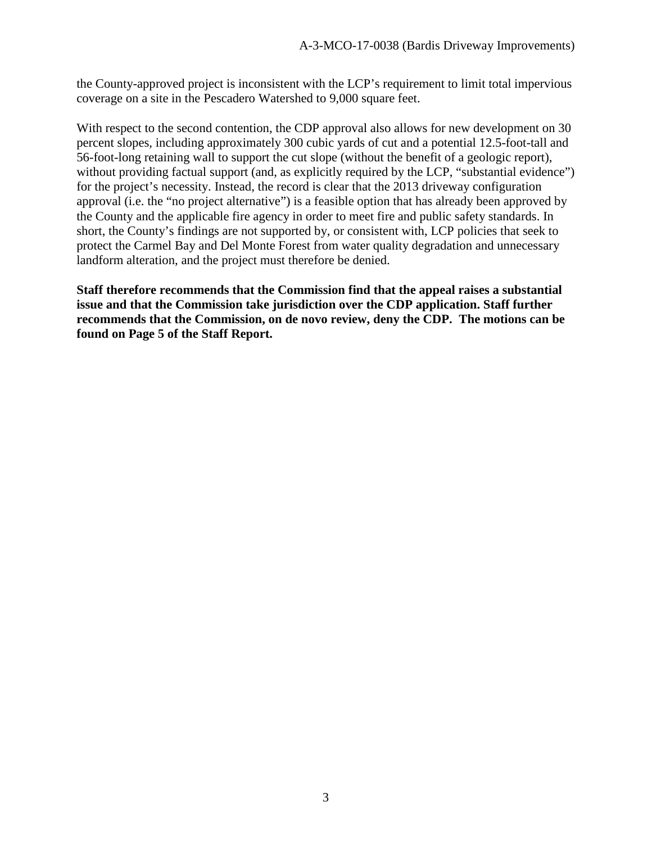the County-approved project is inconsistent with the LCP's requirement to limit total impervious coverage on a site in the Pescadero Watershed to 9,000 square feet.

With respect to the second contention, the CDP approval also allows for new development on 30 percent slopes, including approximately 300 cubic yards of cut and a potential 12.5-foot-tall and 56-foot-long retaining wall to support the cut slope (without the benefit of a geologic report), without providing factual support (and, as explicitly required by the LCP, "substantial evidence") for the project's necessity. Instead, the record is clear that the 2013 driveway configuration approval (i.e. the "no project alternative") is a feasible option that has already been approved by the County and the applicable fire agency in order to meet fire and public safety standards. In short, the County's findings are not supported by, or consistent with, LCP policies that seek to protect the Carmel Bay and Del Monte Forest from water quality degradation and unnecessary landform alteration, and the project must therefore be denied.

**Staff therefore recommends that the Commission find that the appeal raises a substantial issue and that the Commission take jurisdiction over the CDP application. Staff further recommends that the Commission, on de novo review, deny the CDP. The motions can be found on Page 5 of the Staff Report.**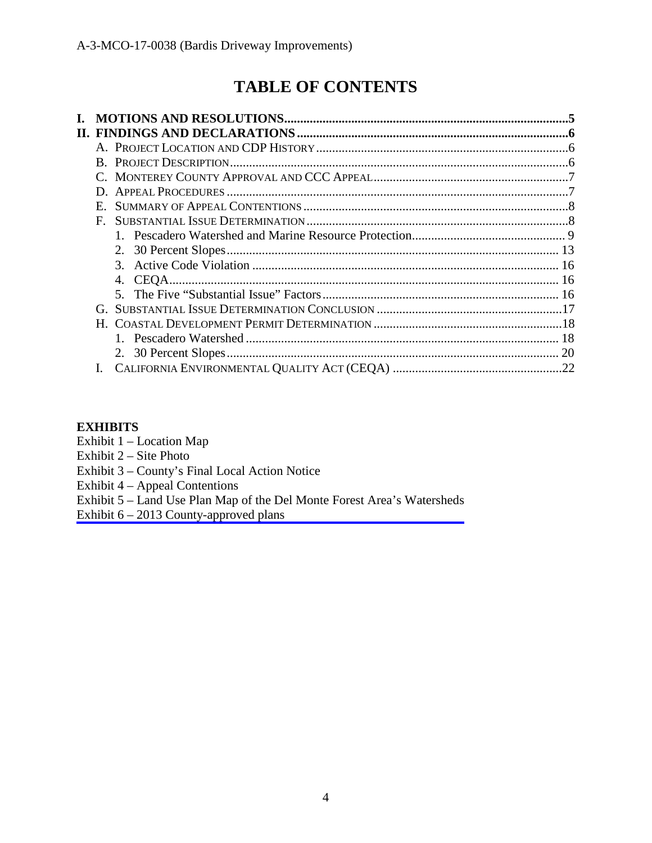# **TABLE OF CONTENTS**

| E. |  |
|----|--|
| F. |  |
|    |  |
|    |  |
|    |  |
| 4. |  |
|    |  |
|    |  |
|    |  |
|    |  |
|    |  |
|    |  |
|    |  |

### **EXHIBITS**

- Exhibit 1 Location Map
- Exhibit 2 Site Photo
- Exhibit 3 County's Final Local Action Notice
- Exhibit 4 Appeal Contentions
- [Exhibit 5 Land Use Plan Map of the Del Monte Forest Area's Watersheds](https://documents.coastal.ca.gov/reports/2017/9/Th22b/Th22b-9-2017-exhibits.pdf)
- Exhibit  $6 2013$  County-approved plans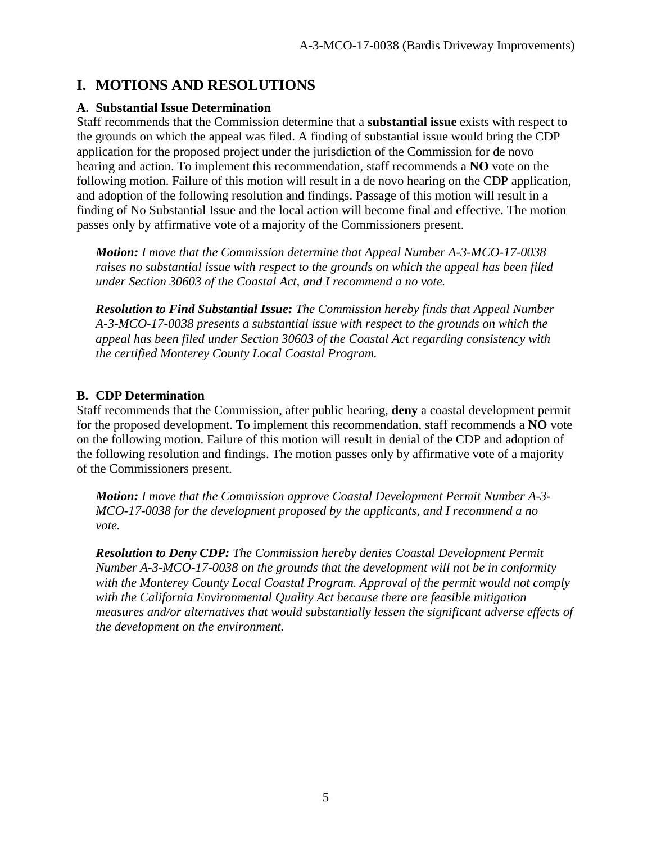# **I. MOTIONS AND RESOLUTIONS**

#### **A. Substantial Issue Determination**

Staff recommends that the Commission determine that a **substantial issue** exists with respect to the grounds on which the appeal was filed. A finding of substantial issue would bring the CDP application for the proposed project under the jurisdiction of the Commission for de novo hearing and action. To implement this recommendation, staff recommends a **NO** vote on the following motion. Failure of this motion will result in a de novo hearing on the CDP application, and adoption of the following resolution and findings. Passage of this motion will result in a finding of No Substantial Issue and the local action will become final and effective. The motion passes only by affirmative vote of a majority of the Commissioners present.

*Motion: I move that the Commission determine that Appeal Number A-3-MCO-17-0038 raises no substantial issue with respect to the grounds on which the appeal has been filed under Section 30603 of the Coastal Act, and I recommend a no vote.* 

*Resolution to Find Substantial Issue: The Commission hereby finds that Appeal Number A-3-MCO-17-0038 presents a substantial issue with respect to the grounds on which the appeal has been filed under Section 30603 of the Coastal Act regarding consistency with the certified Monterey County Local Coastal Program.*

#### **B. CDP Determination**

Staff recommends that the Commission, after public hearing, **deny** a coastal development permit for the proposed development. To implement this recommendation, staff recommends a **NO** vote on the following motion. Failure of this motion will result in denial of the CDP and adoption of the following resolution and findings. The motion passes only by affirmative vote of a majority of the Commissioners present.

*Motion: I move that the Commission approve Coastal Development Permit Number A-3- MCO-17-0038 for the development proposed by the applicants, and I recommend a no vote.* 

*Resolution to Deny CDP: The Commission hereby denies Coastal Development Permit Number A-3-MCO-17-0038 on the grounds that the development will not be in conformity with the Monterey County Local Coastal Program. Approval of the permit would not comply with the California Environmental Quality Act because there are feasible mitigation measures and/or alternatives that would substantially lessen the significant adverse effects of the development on the environment.*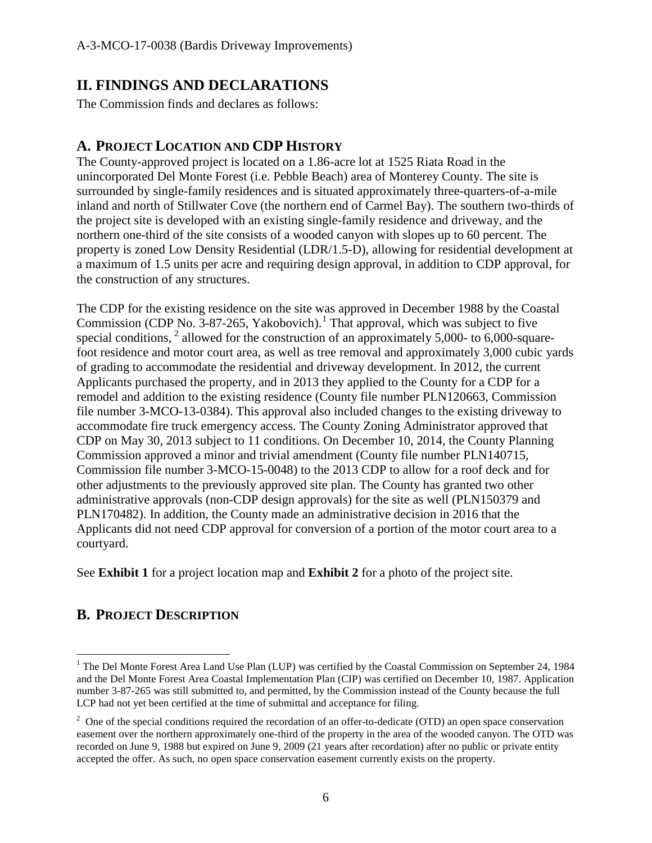# **II. FINDINGS AND DECLARATIONS**

The Commission finds and declares as follows:

# **A. PROJECT LOCATION AND CDP HISTORY**

The County-approved project is located on a 1.86-acre lot at 1525 Riata Road in the unincorporated Del Monte Forest (i.e. Pebble Beach) area of Monterey County. The site is surrounded by single-family residences and is situated approximately three-quarters-of-a-mile inland and north of Stillwater Cove (the northern end of Carmel Bay). The southern two-thirds of the project site is developed with an existing single-family residence and driveway, and the northern one-third of the site consists of a wooded canyon with slopes up to 60 percent. The property is zoned Low Density Residential (LDR/1.5-D), allowing for residential development at a maximum of 1.5 units per acre and requiring design approval, in addition to CDP approval, for the construction of any structures.

The CDP for the existing residence on the site was approved in December 1988 by the Coastal Commission (CDP No. 3-87-265, Yakobovich).<sup>[1](#page-5-0)</sup> That approval, which was subject to five special conditions,  $2$  allowed for the construction of an approximately 5,000- to 6,000-squarefoot residence and motor court area, as well as tree removal and approximately 3,000 cubic yards of grading to accommodate the residential and driveway development. In 2012, the current Applicants purchased the property, and in 2013 they applied to the County for a CDP for a remodel and addition to the existing residence (County file number PLN120663, Commission file number 3-MCO-13-0384). This approval also included changes to the existing driveway to accommodate fire truck emergency access. The County Zoning Administrator approved that CDP on May 30, 2013 subject to 11 conditions. On December 10, 2014, the County Planning Commission approved a minor and trivial amendment (County file number PLN140715, Commission file number 3-MCO-15-0048) to the 2013 CDP to allow for a roof deck and for other adjustments to the previously approved site plan. The County has granted two other administrative approvals (non-CDP design approvals) for the site as well (PLN150379 and PLN170482). In addition, the County made an administrative decision in 2016 that the Applicants did not need CDP approval for conversion of a portion of the motor court area to a courtyard.

See **Exhibit 1** for a project location map and **Exhibit 2** for a photo of the project site.

# **B. PROJECT DESCRIPTION**

<span id="page-5-0"></span><sup>&</sup>lt;sup>1</sup> The Del Monte Forest Area Land Use Plan (LUP) was certified by the Coastal Commission on September 24, 1984 and the Del Monte Forest Area Coastal Implementation Plan (CIP) was certified on December 10, 1987. Application number 3-87-265 was still submitted to, and permitted, by the Commission instead of the County because the full LCP had not yet been certified at the time of submittal and acceptance for filing.

<span id="page-5-1"></span> $2$  One of the special conditions required the recordation of an offer-to-dedicate (OTD) an open space conservation easement over the northern approximately one-third of the property in the area of the wooded canyon. The OTD was recorded on June 9, 1988 but expired on June 9, 2009 (21 years after recordation) after no public or private entity accepted the offer. As such, no open space conservation easement currently exists on the property.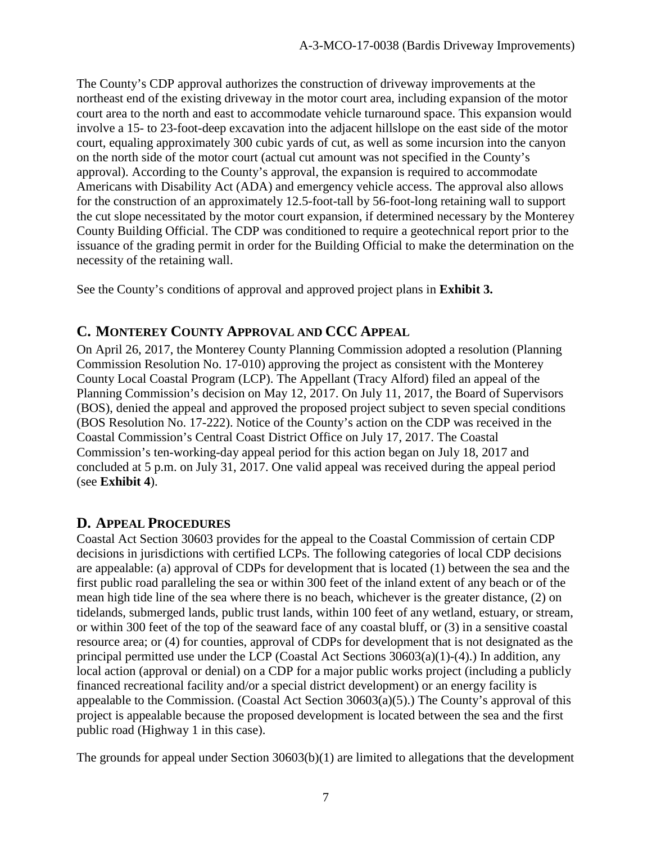The County's CDP approval authorizes the construction of driveway improvements at the northeast end of the existing driveway in the motor court area, including expansion of the motor court area to the north and east to accommodate vehicle turnaround space. This expansion would involve a 15- to 23-foot-deep excavation into the adjacent hillslope on the east side of the motor court, equaling approximately 300 cubic yards of cut, as well as some incursion into the canyon on the north side of the motor court (actual cut amount was not specified in the County's approval). According to the County's approval, the expansion is required to accommodate Americans with Disability Act (ADA) and emergency vehicle access. The approval also allows for the construction of an approximately 12.5-foot-tall by 56-foot-long retaining wall to support the cut slope necessitated by the motor court expansion, if determined necessary by the Monterey County Building Official. The CDP was conditioned to require a geotechnical report prior to the issuance of the grading permit in order for the Building Official to make the determination on the necessity of the retaining wall.

See the County's conditions of approval and approved project plans in **Exhibit 3.** 

# **C. MONTEREY COUNTY APPROVAL AND CCC APPEAL**

On April 26, 2017, the Monterey County Planning Commission adopted a resolution (Planning Commission Resolution No. 17-010) approving the project as consistent with the Monterey County Local Coastal Program (LCP). The Appellant (Tracy Alford) filed an appeal of the Planning Commission's decision on May 12, 2017. On July 11, 2017, the Board of Supervisors (BOS), denied the appeal and approved the proposed project subject to seven special conditions (BOS Resolution No. 17-222). Notice of the County's action on the CDP was received in the Coastal Commission's Central Coast District Office on July 17, 2017. The Coastal Commission's ten-working-day appeal period for this action began on July 18, 2017 and concluded at 5 p.m. on July 31, 2017. One valid appeal was received during the appeal period (see **Exhibit 4**).

# **D. APPEAL PROCEDURES**

Coastal Act Section 30603 provides for the appeal to the Coastal Commission of certain CDP decisions in jurisdictions with certified LCPs. The following categories of local CDP decisions are appealable: (a) approval of CDPs for development that is located (1) between the sea and the first public road paralleling the sea or within 300 feet of the inland extent of any beach or of the mean high tide line of the sea where there is no beach, whichever is the greater distance, (2) on tidelands, submerged lands, public trust lands, within 100 feet of any wetland, estuary, or stream, or within 300 feet of the top of the seaward face of any coastal bluff, or (3) in a sensitive coastal resource area; or (4) for counties, approval of CDPs for development that is not designated as the principal permitted use under the LCP (Coastal Act Sections 30603(a)(1)-(4).) In addition, any local action (approval or denial) on a CDP for a major public works project (including a publicly financed recreational facility and/or a special district development) or an energy facility is appealable to the Commission. (Coastal Act Section 30603(a)(5).) The County's approval of this project is appealable because the proposed development is located between the sea and the first public road (Highway 1 in this case).

The grounds for appeal under Section 30603(b)(1) are limited to allegations that the development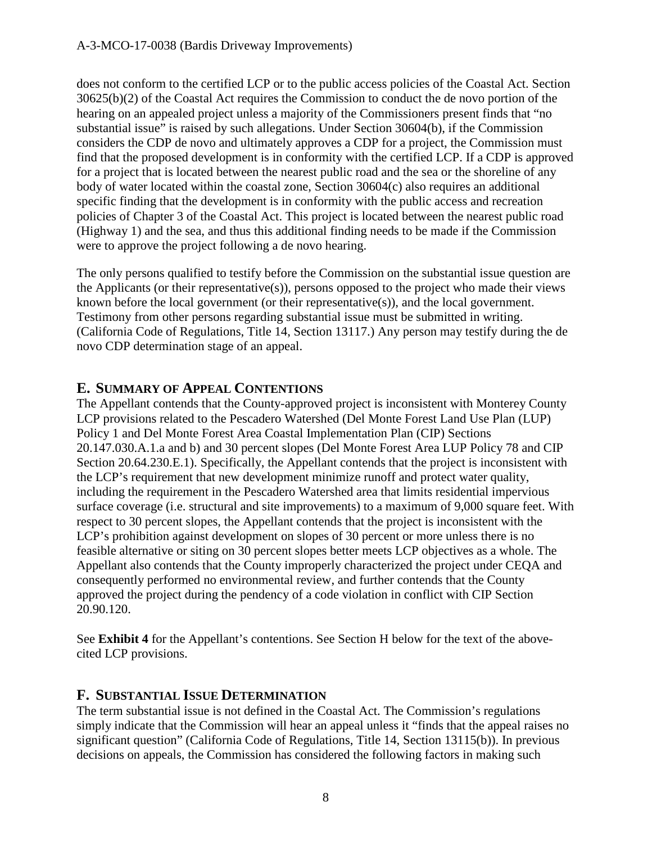does not conform to the certified LCP or to the public access policies of the Coastal Act. Section 30625(b)(2) of the Coastal Act requires the Commission to conduct the de novo portion of the hearing on an appealed project unless a majority of the Commissioners present finds that "no substantial issue" is raised by such allegations. Under Section 30604(b), if the Commission considers the CDP de novo and ultimately approves a CDP for a project, the Commission must find that the proposed development is in conformity with the certified LCP. If a CDP is approved for a project that is located between the nearest public road and the sea or the shoreline of any body of water located within the coastal zone, Section 30604(c) also requires an additional specific finding that the development is in conformity with the public access and recreation policies of Chapter 3 of the Coastal Act. This project is located between the nearest public road (Highway 1) and the sea, and thus this additional finding needs to be made if the Commission were to approve the project following a de novo hearing.

The only persons qualified to testify before the Commission on the substantial issue question are the Applicants (or their representative(s)), persons opposed to the project who made their views known before the local government (or their representative(s)), and the local government. Testimony from other persons regarding substantial issue must be submitted in writing. (California Code of Regulations, Title 14, Section 13117.) Any person may testify during the de novo CDP determination stage of an appeal.

### **E. SUMMARY OF APPEAL CONTENTIONS**

The Appellant contends that the County-approved project is inconsistent with Monterey County LCP provisions related to the Pescadero Watershed (Del Monte Forest Land Use Plan (LUP) Policy 1 and Del Monte Forest Area Coastal Implementation Plan (CIP) Sections 20.147.030.A.1.a and b) and 30 percent slopes (Del Monte Forest Area LUP Policy 78 and CIP Section 20.64.230.E.1). Specifically, the Appellant contends that the project is inconsistent with the LCP's requirement that new development minimize runoff and protect water quality, including the requirement in the Pescadero Watershed area that limits residential impervious surface coverage (i.e. structural and site improvements) to a maximum of 9,000 square feet. With respect to 30 percent slopes, the Appellant contends that the project is inconsistent with the LCP's prohibition against development on slopes of 30 percent or more unless there is no feasible alternative or siting on 30 percent slopes better meets LCP objectives as a whole. The Appellant also contends that the County improperly characterized the project under CEQA and consequently performed no environmental review, and further contends that the County approved the project during the pendency of a code violation in conflict with CIP Section 20.90.120.

See **Exhibit 4** for the Appellant's contentions. See Section H below for the text of the abovecited LCP provisions.

#### **F. SUBSTANTIAL ISSUE DETERMINATION**

The term substantial issue is not defined in the Coastal Act. The Commission's regulations simply indicate that the Commission will hear an appeal unless it "finds that the appeal raises no significant question" (California Code of Regulations, Title 14, Section 13115(b)). In previous decisions on appeals, the Commission has considered the following factors in making such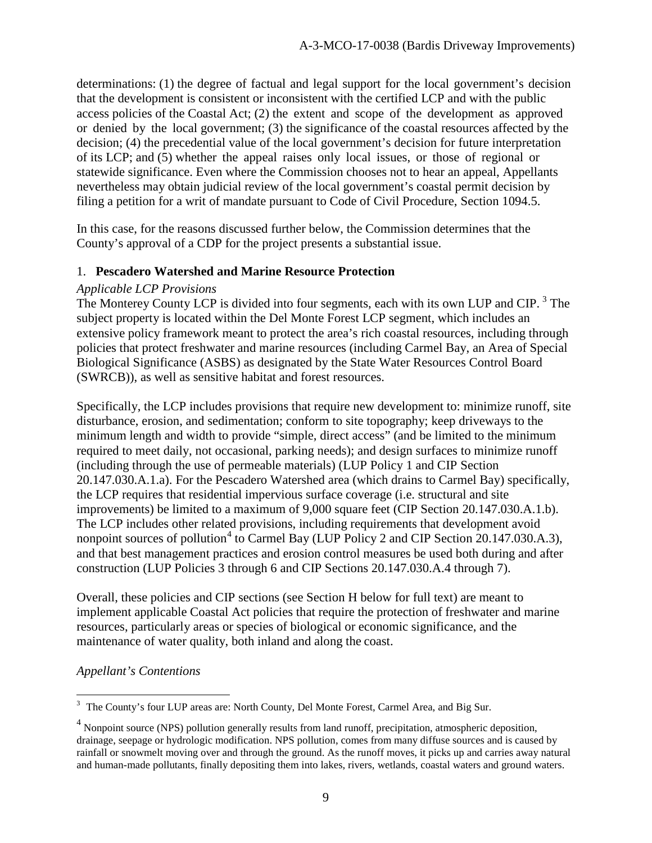determinations: (1) the degree of factual and legal support for the local government's decision that the development is consistent or inconsistent with the certified LCP and with the public access policies of the Coastal Act; (2) the extent and scope of the development as approved or denied by the local government; (3) the significance of the coastal resources affected by the decision; (4) the precedential value of the local government's decision for future interpretation of its LCP; and (5) whether the appeal raises only local issues, or those of regional or statewide significance. Even where the Commission chooses not to hear an appeal, Appellants nevertheless may obtain judicial review of the local government's coastal permit decision by filing a petition for a writ of mandate pursuant to Code of Civil Procedure, Section 1094.5.

In this case, for the reasons discussed further below, the Commission determines that the County's approval of a CDP for the project presents a substantial issue.

#### 1. **Pescadero Watershed and Marine Resource Protection**

#### *Applicable LCP Provisions*

The Monterey County LCP is divided into four segments, each with its own LUP and CIP.<sup>[3](#page-8-0)</sup> The subject property is located within the Del Monte Forest LCP segment, which includes an extensive policy framework meant to protect the area's rich coastal resources, including through policies that protect freshwater and marine resources (including Carmel Bay, an Area of Special Biological Significance (ASBS) as designated by the State Water Resources Control Board (SWRCB)), as well as sensitive habitat and forest resources.

Specifically, the LCP includes provisions that require new development to: minimize runoff, site disturbance, erosion, and sedimentation; conform to site topography; keep driveways to the minimum length and width to provide "simple, direct access" (and be limited to the minimum required to meet daily, not occasional, parking needs); and design surfaces to minimize runoff (including through the use of permeable materials) (LUP Policy 1 and CIP Section 20.147.030.A.1.a). For the Pescadero Watershed area (which drains to Carmel Bay) specifically, the LCP requires that residential impervious surface coverage (i.e. structural and site improvements) be limited to a maximum of 9,000 square feet (CIP Section 20.147.030.A.1.b). The LCP includes other related provisions, including requirements that development avoid nonpoint sources of pollution<sup>[4](#page-8-1)</sup> to Carmel Bay (LUP Policy 2 and CIP Section 20.147.030.A.3), and that best management practices and erosion control measures be used both during and after construction (LUP Policies 3 through 6 and CIP Sections 20.147.030.A.4 through 7).

Overall, these policies and CIP sections (see Section H below for full text) are meant to implement applicable Coastal Act policies that require the protection of freshwater and marine resources, particularly areas or species of biological or economic significance, and the maintenance of water quality, both inland and along the coast.

#### *Appellant's Contentions*

<span id="page-8-0"></span> $\overline{a}$ <sup>3</sup> The County's four LUP areas are: North County, Del Monte Forest, Carmel Area, and Big Sur.

<span id="page-8-1"></span><sup>&</sup>lt;sup>4</sup> Nonpoint source (NPS) pollution generally results from land runoff, precipitation, atmospheric deposition, drainage, seepage or hydrologic modification. NPS pollution, comes from many diffuse sources and is caused by rainfall or snowmelt moving over and through the ground. As the runoff moves, it picks up and carries away natural and human-made pollutants, finally depositing them into lakes, rivers, wetlands, coastal waters and ground waters.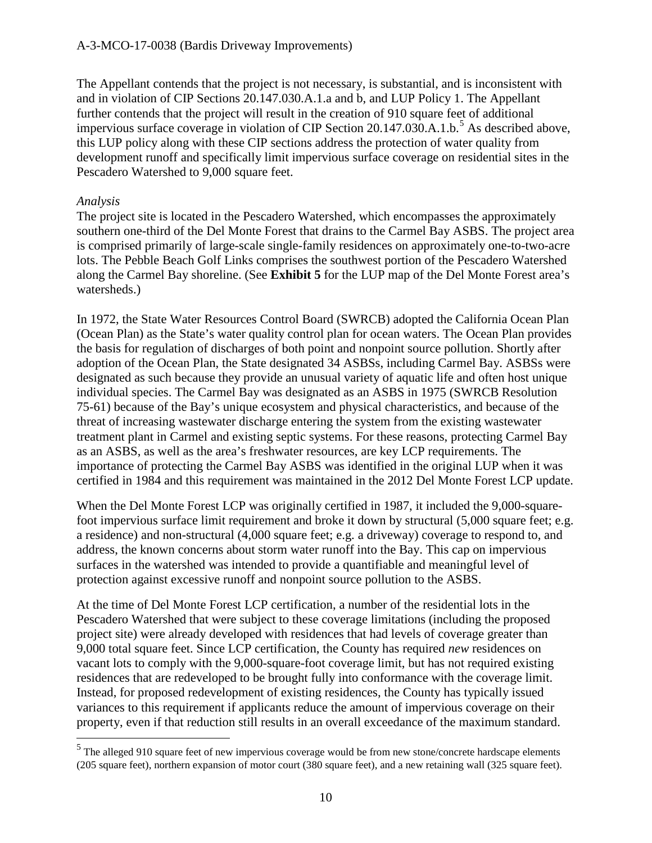The Appellant contends that the project is not necessary, is substantial, and is inconsistent with and in violation of CIP Sections 20.147.030.A.1.a and b, and LUP Policy 1. The Appellant further contends that the project will result in the creation of 910 square feet of additional impervious surface coverage in violation of CIP Section 20.147.030.A.1.b.<sup>[5](#page-9-0)</sup> As described above, this LUP policy along with these CIP sections address the protection of water quality from development runoff and specifically limit impervious surface coverage on residential sites in the Pescadero Watershed to 9,000 square feet.

#### *Analysis*

 $\overline{a}$ 

The project site is located in the Pescadero Watershed, which encompasses the approximately southern one-third of the Del Monte Forest that drains to the Carmel Bay ASBS. The project area is comprised primarily of large-scale single-family residences on approximately one-to-two-acre lots. The Pebble Beach Golf Links comprises the southwest portion of the Pescadero Watershed along the Carmel Bay shoreline. (See **Exhibit 5** for the LUP map of the Del Monte Forest area's watersheds.)

In 1972, the State Water Resources Control Board (SWRCB) adopted the California Ocean Plan (Ocean Plan) as the State's water quality control plan for ocean waters. The Ocean Plan provides the basis for regulation of discharges of both point and nonpoint source pollution. Shortly after adoption of the Ocean Plan, the State designated 34 ASBSs, including Carmel Bay. ASBSs were designated as such because they provide an unusual variety of aquatic life and often host unique individual species. The Carmel Bay was designated as an ASBS in 1975 (SWRCB Resolution 75-61) because of the Bay's unique ecosystem and physical characteristics, and because of the threat of increasing wastewater discharge entering the system from the existing wastewater treatment plant in Carmel and existing septic systems. For these reasons, protecting Carmel Bay as an ASBS, as well as the area's freshwater resources, are key LCP requirements. The importance of protecting the Carmel Bay ASBS was identified in the original LUP when it was certified in 1984 and this requirement was maintained in the 2012 Del Monte Forest LCP update.

When the Del Monte Forest LCP was originally certified in 1987, it included the 9,000-squarefoot impervious surface limit requirement and broke it down by structural (5,000 square feet; e.g. a residence) and non-structural (4,000 square feet; e.g. a driveway) coverage to respond to, and address, the known concerns about storm water runoff into the Bay. This cap on impervious surfaces in the watershed was intended to provide a quantifiable and meaningful level of protection against excessive runoff and nonpoint source pollution to the ASBS.

At the time of Del Monte Forest LCP certification, a number of the residential lots in the Pescadero Watershed that were subject to these coverage limitations (including the proposed project site) were already developed with residences that had levels of coverage greater than 9,000 total square feet. Since LCP certification, the County has required *new* residences on vacant lots to comply with the 9,000-square-foot coverage limit, but has not required existing residences that are redeveloped to be brought fully into conformance with the coverage limit. Instead, for proposed redevelopment of existing residences, the County has typically issued variances to this requirement if applicants reduce the amount of impervious coverage on their property, even if that reduction still results in an overall exceedance of the maximum standard.

<span id="page-9-0"></span><sup>5</sup> The alleged 910 square feet of new impervious coverage would be from new stone/concrete hardscape elements (205 square feet), northern expansion of motor court (380 square feet), and a new retaining wall (325 square feet).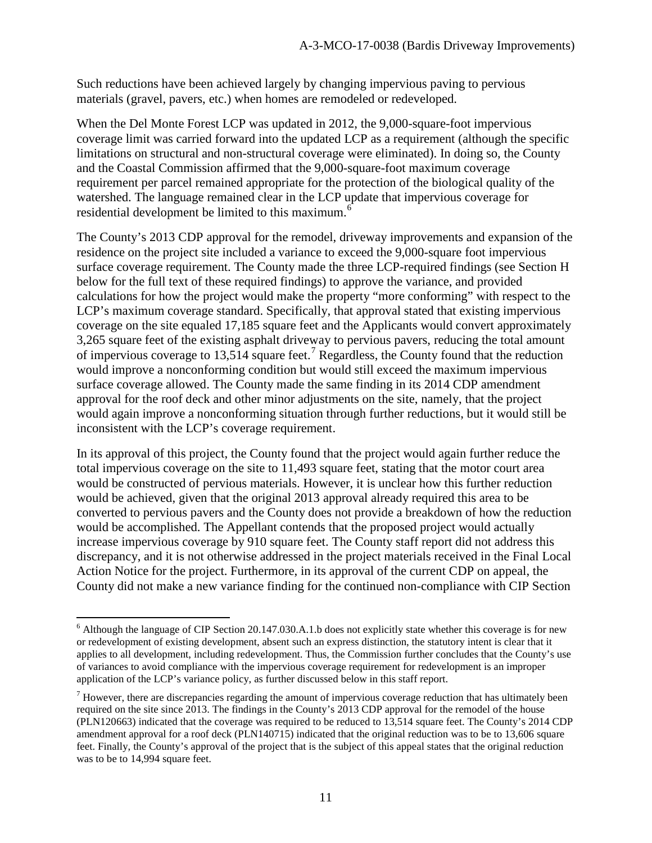Such reductions have been achieved largely by changing impervious paving to pervious materials (gravel, pavers, etc.) when homes are remodeled or redeveloped.

When the Del Monte Forest LCP was updated in 2012, the 9,000-square-foot impervious coverage limit was carried forward into the updated LCP as a requirement (although the specific limitations on structural and non-structural coverage were eliminated). In doing so, the County and the Coastal Commission affirmed that the 9,000-square-foot maximum coverage requirement per parcel remained appropriate for the protection of the biological quality of the watershed. The language remained clear in the LCP update that impervious coverage for residential development be limited to this maximum. $6$ 

The County's 2013 CDP approval for the remodel, driveway improvements and expansion of the residence on the project site included a variance to exceed the 9,000-square foot impervious surface coverage requirement. The County made the three LCP-required findings (see Section H below for the full text of these required findings) to approve the variance, and provided calculations for how the project would make the property "more conforming" with respect to the LCP's maximum coverage standard. Specifically, that approval stated that existing impervious coverage on the site equaled 17,185 square feet and the Applicants would convert approximately 3,265 square feet of the existing asphalt driveway to pervious pavers, reducing the total amount of impervious coverage to 13,514 square feet.<sup>[7](#page-10-1)</sup> Regardless, the County found that the reduction would improve a nonconforming condition but would still exceed the maximum impervious surface coverage allowed. The County made the same finding in its 2014 CDP amendment approval for the roof deck and other minor adjustments on the site, namely, that the project would again improve a nonconforming situation through further reductions, but it would still be inconsistent with the LCP's coverage requirement.

In its approval of this project, the County found that the project would again further reduce the total impervious coverage on the site to 11,493 square feet, stating that the motor court area would be constructed of pervious materials. However, it is unclear how this further reduction would be achieved, given that the original 2013 approval already required this area to be converted to pervious pavers and the County does not provide a breakdown of how the reduction would be accomplished. The Appellant contends that the proposed project would actually increase impervious coverage by 910 square feet. The County staff report did not address this discrepancy, and it is not otherwise addressed in the project materials received in the Final Local Action Notice for the project. Furthermore, in its approval of the current CDP on appeal, the County did not make a new variance finding for the continued non-compliance with CIP Section

<span id="page-10-0"></span> $\overline{a}$  $6$  Although the language of CIP Section 20.147.030.A.1.b does not explicitly state whether this coverage is for new or redevelopment of existing development, absent such an express distinction, the statutory intent is clear that it applies to all development, including redevelopment. Thus, the Commission further concludes that the County's use of variances to avoid compliance with the impervious coverage requirement for redevelopment is an improper application of the LCP's variance policy, as further discussed below in this staff report.

<span id="page-10-1"></span> $<sup>7</sup>$  However, there are discrepancies regarding the amount of impervious coverage reduction that has ultimately been</sup> required on the site since 2013. The findings in the County's 2013 CDP approval for the remodel of the house (PLN120663) indicated that the coverage was required to be reduced to 13,514 square feet. The County's 2014 CDP amendment approval for a roof deck (PLN140715) indicated that the original reduction was to be to 13,606 square feet. Finally, the County's approval of the project that is the subject of this appeal states that the original reduction was to be to 14,994 square feet.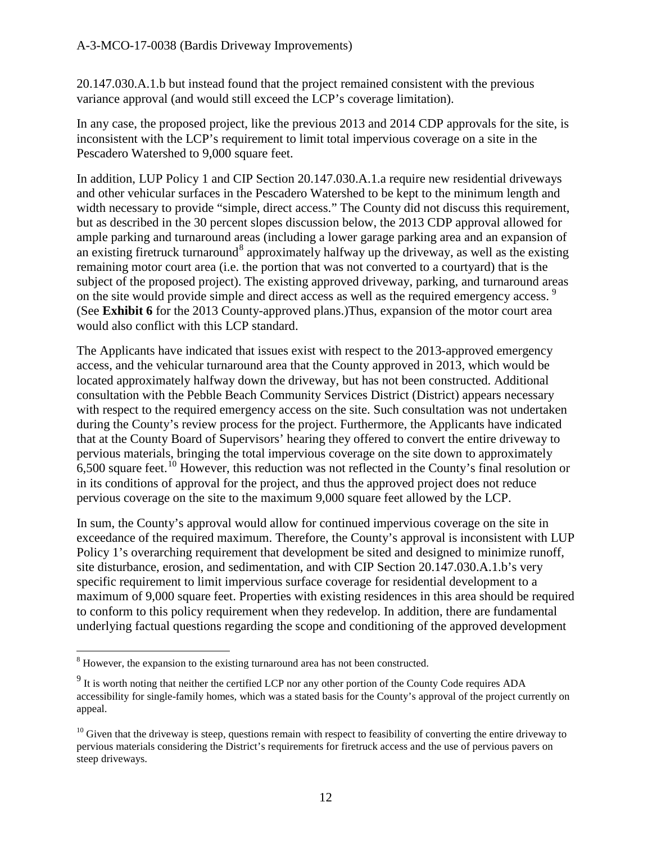20.147.030.A.1.b but instead found that the project remained consistent with the previous variance approval (and would still exceed the LCP's coverage limitation).

In any case, the proposed project, like the previous 2013 and 2014 CDP approvals for the site, is inconsistent with the LCP's requirement to limit total impervious coverage on a site in the Pescadero Watershed to 9,000 square feet.

In addition, LUP Policy 1 and CIP Section 20.147.030.A.1.a require new residential driveways and other vehicular surfaces in the Pescadero Watershed to be kept to the minimum length and width necessary to provide "simple, direct access." The County did not discuss this requirement, but as described in the 30 percent slopes discussion below, the 2013 CDP approval allowed for ample parking and turnaround areas (including a lower garage parking area and an expansion of an existing firetruck turnaround<sup>[8](#page-11-0)</sup> approximately halfway up the driveway, as well as the existing remaining motor court area (i.e. the portion that was not converted to a courtyard) that is the subject of the proposed project). The existing approved driveway, parking, and turnaround areas on the site would provide simple and direct access as well as the required emergency access.<sup>[9](#page-11-1)</sup> (See **Exhibit 6** for the 2013 County-approved plans.)Thus, expansion of the motor court area would also conflict with this LCP standard.

The Applicants have indicated that issues exist with respect to the 2013-approved emergency access, and the vehicular turnaround area that the County approved in 2013, which would be located approximately halfway down the driveway, but has not been constructed. Additional consultation with the Pebble Beach Community Services District (District) appears necessary with respect to the required emergency access on the site. Such consultation was not undertaken during the County's review process for the project. Furthermore, the Applicants have indicated that at the County Board of Supervisors' hearing they offered to convert the entire driveway to pervious materials, bringing the total impervious coverage on the site down to approximately  $6,500$  square feet.<sup>10</sup> However, this reduction was not reflected in the County's final resolution or in its conditions of approval for the project, and thus the approved project does not reduce pervious coverage on the site to the maximum 9,000 square feet allowed by the LCP.

In sum, the County's approval would allow for continued impervious coverage on the site in exceedance of the required maximum. Therefore, the County's approval is inconsistent with LUP Policy 1's overarching requirement that development be sited and designed to minimize runoff, site disturbance, erosion, and sedimentation, and with CIP Section 20.147.030.A.1.b's very specific requirement to limit impervious surface coverage for residential development to a maximum of 9,000 square feet. Properties with existing residences in this area should be required to conform to this policy requirement when they redevelop. In addition, there are fundamental underlying factual questions regarding the scope and conditioning of the approved development

<span id="page-11-0"></span><sup>&</sup>lt;sup>8</sup> However, the expansion to the existing turnaround area has not been constructed.

<span id="page-11-1"></span> $9$  It is worth noting that neither the certified LCP nor any other portion of the County Code requires ADA accessibility for single-family homes, which was a stated basis for the County's approval of the project currently on appeal.

<span id="page-11-2"></span> $10$  Given that the driveway is steep, questions remain with respect to feasibility of converting the entire driveway to pervious materials considering the District's requirements for firetruck access and the use of pervious pavers on steep driveways.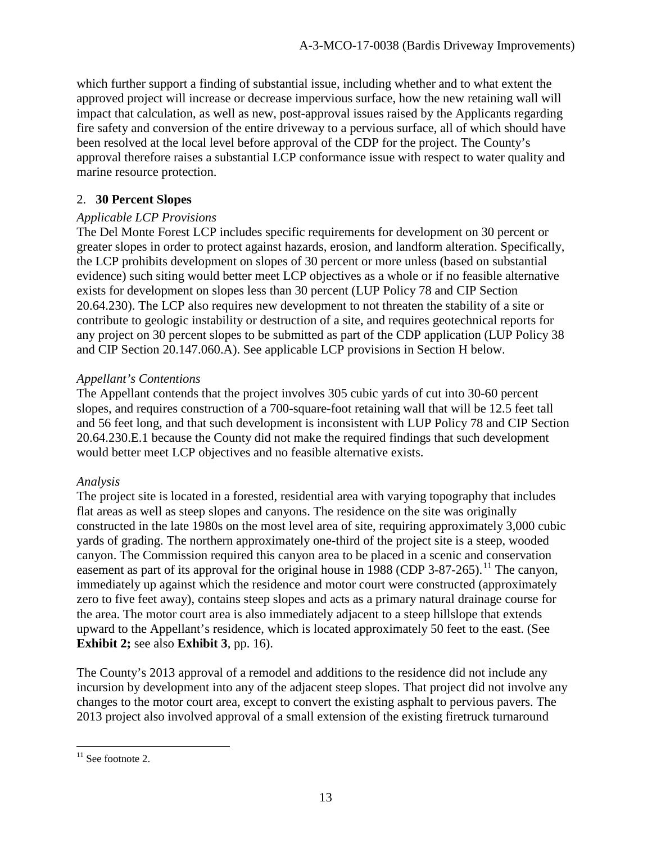which further support a finding of substantial issue, including whether and to what extent the approved project will increase or decrease impervious surface, how the new retaining wall will impact that calculation, as well as new, post-approval issues raised by the Applicants regarding fire safety and conversion of the entire driveway to a pervious surface, all of which should have been resolved at the local level before approval of the CDP for the project. The County's approval therefore raises a substantial LCP conformance issue with respect to water quality and marine resource protection.

#### 2. **30 Percent Slopes**

#### *Applicable LCP Provisions*

The Del Monte Forest LCP includes specific requirements for development on 30 percent or greater slopes in order to protect against hazards, erosion, and landform alteration. Specifically, the LCP prohibits development on slopes of 30 percent or more unless (based on substantial evidence) such siting would better meet LCP objectives as a whole or if no feasible alternative exists for development on slopes less than 30 percent (LUP Policy 78 and CIP Section 20.64.230). The LCP also requires new development to not threaten the stability of a site or contribute to geologic instability or destruction of a site, and requires geotechnical reports for any project on 30 percent slopes to be submitted as part of the CDP application (LUP Policy 38 and CIP Section 20.147.060.A). See applicable LCP provisions in Section H below.

#### *Appellant's Contentions*

The Appellant contends that the project involves 305 cubic yards of cut into 30-60 percent slopes, and requires construction of a 700-square-foot retaining wall that will be 12.5 feet tall and 56 feet long, and that such development is inconsistent with LUP Policy 78 and CIP Section 20.64.230.E.1 because the County did not make the required findings that such development would better meet LCP objectives and no feasible alternative exists.

#### *Analysis*

The project site is located in a forested, residential area with varying topography that includes flat areas as well as steep slopes and canyons. The residence on the site was originally constructed in the late 1980s on the most level area of site, requiring approximately 3,000 cubic yards of grading. The northern approximately one-third of the project site is a steep, wooded canyon. The Commission required this canyon area to be placed in a scenic and conservation easement as part of its approval for the original house in 1988 (CDP 3-87-265).<sup>[11](#page-12-0)</sup> The canyon, immediately up against which the residence and motor court were constructed (approximately zero to five feet away), contains steep slopes and acts as a primary natural drainage course for the area. The motor court area is also immediately adjacent to a steep hillslope that extends upward to the Appellant's residence, which is located approximately 50 feet to the east. (See **Exhibit 2;** see also **Exhibit 3**, pp. 16).

The County's 2013 approval of a remodel and additions to the residence did not include any incursion by development into any of the adjacent steep slopes. That project did not involve any changes to the motor court area, except to convert the existing asphalt to pervious pavers. The 2013 project also involved approval of a small extension of the existing firetruck turnaround

<span id="page-12-0"></span> $\overline{a}$  $11$  See footnote 2.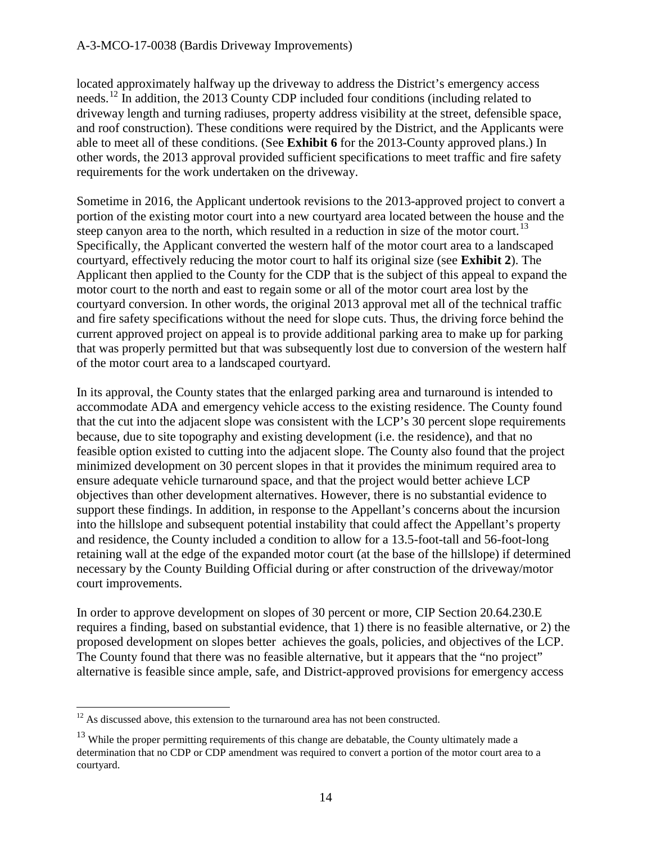located approximately halfway up the driveway to address the District's emergency access needs.[12](#page-13-0) In addition, the 2013 County CDP included four conditions (including related to driveway length and turning radiuses, property address visibility at the street, defensible space, and roof construction). These conditions were required by the District, and the Applicants were able to meet all of these conditions. (See **Exhibit 6** for the 2013-County approved plans.) In other words, the 2013 approval provided sufficient specifications to meet traffic and fire safety requirements for the work undertaken on the driveway.

Sometime in 2016, the Applicant undertook revisions to the 2013-approved project to convert a portion of the existing motor court into a new courtyard area located between the house and the steep canyon area to the north, which resulted in a reduction in size of the motor court.<sup>[13](#page-13-1)</sup> Specifically, the Applicant converted the western half of the motor court area to a landscaped courtyard, effectively reducing the motor court to half its original size (see **Exhibit 2**). The Applicant then applied to the County for the CDP that is the subject of this appeal to expand the motor court to the north and east to regain some or all of the motor court area lost by the courtyard conversion. In other words, the original 2013 approval met all of the technical traffic and fire safety specifications without the need for slope cuts. Thus, the driving force behind the current approved project on appeal is to provide additional parking area to make up for parking that was properly permitted but that was subsequently lost due to conversion of the western half of the motor court area to a landscaped courtyard.

In its approval, the County states that the enlarged parking area and turnaround is intended to accommodate ADA and emergency vehicle access to the existing residence. The County found that the cut into the adjacent slope was consistent with the LCP's 30 percent slope requirements because, due to site topography and existing development (i.e. the residence), and that no feasible option existed to cutting into the adjacent slope. The County also found that the project minimized development on 30 percent slopes in that it provides the minimum required area to ensure adequate vehicle turnaround space, and that the project would better achieve LCP objectives than other development alternatives. However, there is no substantial evidence to support these findings. In addition, in response to the Appellant's concerns about the incursion into the hillslope and subsequent potential instability that could affect the Appellant's property and residence, the County included a condition to allow for a 13.5-foot-tall and 56-foot-long retaining wall at the edge of the expanded motor court (at the base of the hillslope) if determined necessary by the County Building Official during or after construction of the driveway/motor court improvements.

In order to approve development on slopes of 30 percent or more, CIP Section 20.64.230.E requires a finding, based on substantial evidence, that 1) there is no feasible alternative, or 2) the proposed development on slopes better achieves the goals, policies, and objectives of the LCP. The County found that there was no feasible alternative, but it appears that the "no project" alternative is feasible since ample, safe, and District-approved provisions for emergency access

<span id="page-13-0"></span> $12$  As discussed above, this extension to the turnaround area has not been constructed.

<span id="page-13-1"></span> $13$  While the proper permitting requirements of this change are debatable, the County ultimately made a determination that no CDP or CDP amendment was required to convert a portion of the motor court area to a courtyard.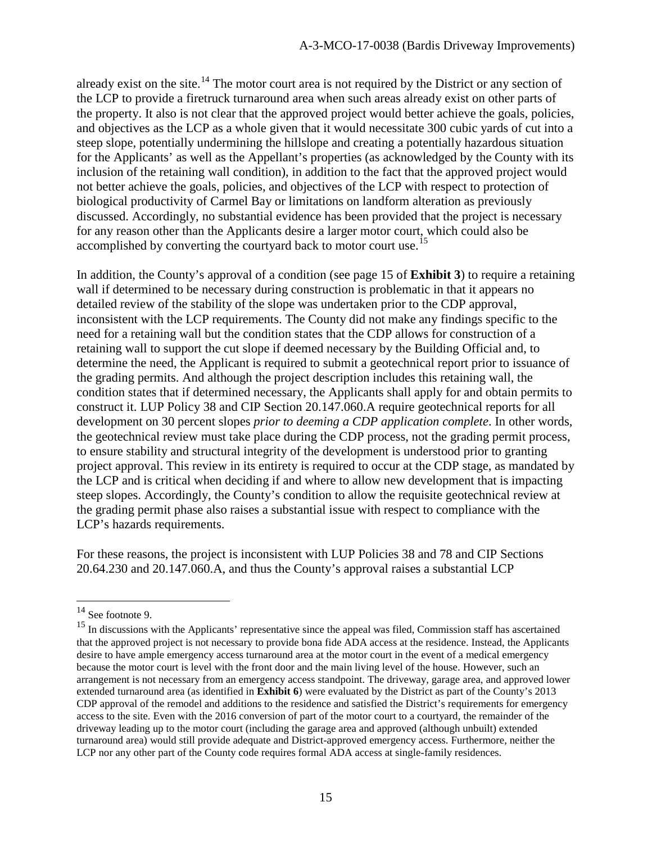already exist on the site.<sup>14</sup> The motor court area is not required by the District or any section of the LCP to provide a firetruck turnaround area when such areas already exist on other parts of the property. It also is not clear that the approved project would better achieve the goals, policies, and objectives as the LCP as a whole given that it would necessitate 300 cubic yards of cut into a steep slope, potentially undermining the hillslope and creating a potentially hazardous situation for the Applicants' as well as the Appellant's properties (as acknowledged by the County with its inclusion of the retaining wall condition), in addition to the fact that the approved project would not better achieve the goals, policies, and objectives of the LCP with respect to protection of biological productivity of Carmel Bay or limitations on landform alteration as previously discussed. Accordingly, no substantial evidence has been provided that the project is necessary for any reason other than the Applicants desire a larger motor court, which could also be accomplished by converting the courtyard back to motor court use.<sup>[15](#page-14-1)</sup>

In addition, the County's approval of a condition (see page 15 of **Exhibit 3**) to require a retaining wall if determined to be necessary during construction is problematic in that it appears no detailed review of the stability of the slope was undertaken prior to the CDP approval, inconsistent with the LCP requirements. The County did not make any findings specific to the need for a retaining wall but the condition states that the CDP allows for construction of a retaining wall to support the cut slope if deemed necessary by the Building Official and, to determine the need, the Applicant is required to submit a geotechnical report prior to issuance of the grading permits. And although the project description includes this retaining wall, the condition states that if determined necessary, the Applicants shall apply for and obtain permits to construct it. LUP Policy 38 and CIP Section 20.147.060.A require geotechnical reports for all development on 30 percent slopes *prior to deeming a CDP application complete*. In other words, the geotechnical review must take place during the CDP process, not the grading permit process, to ensure stability and structural integrity of the development is understood prior to granting project approval. This review in its entirety is required to occur at the CDP stage, as mandated by the LCP and is critical when deciding if and where to allow new development that is impacting steep slopes. Accordingly, the County's condition to allow the requisite geotechnical review at the grading permit phase also raises a substantial issue with respect to compliance with the LCP's hazards requirements.

For these reasons, the project is inconsistent with LUP Policies 38 and 78 and CIP Sections 20.64.230 and 20.147.060.A, and thus the County's approval raises a substantial LCP

<span id="page-14-0"></span> $14$  See footnote 9.

<span id="page-14-1"></span><sup>&</sup>lt;sup>15</sup> In discussions with the Applicants' representative since the appeal was filed, Commission staff has ascertained that the approved project is not necessary to provide bona fide ADA access at the residence. Instead, the Applicants desire to have ample emergency access turnaround area at the motor court in the event of a medical emergency because the motor court is level with the front door and the main living level of the house. However, such an arrangement is not necessary from an emergency access standpoint. The driveway, garage area, and approved lower extended turnaround area (as identified in **Exhibit 6**) were evaluated by the District as part of the County's 2013 CDP approval of the remodel and additions to the residence and satisfied the District's requirements for emergency access to the site. Even with the 2016 conversion of part of the motor court to a courtyard, the remainder of the driveway leading up to the motor court (including the garage area and approved (although unbuilt) extended turnaround area) would still provide adequate and District-approved emergency access. Furthermore, neither the LCP nor any other part of the County code requires formal ADA access at single-family residences.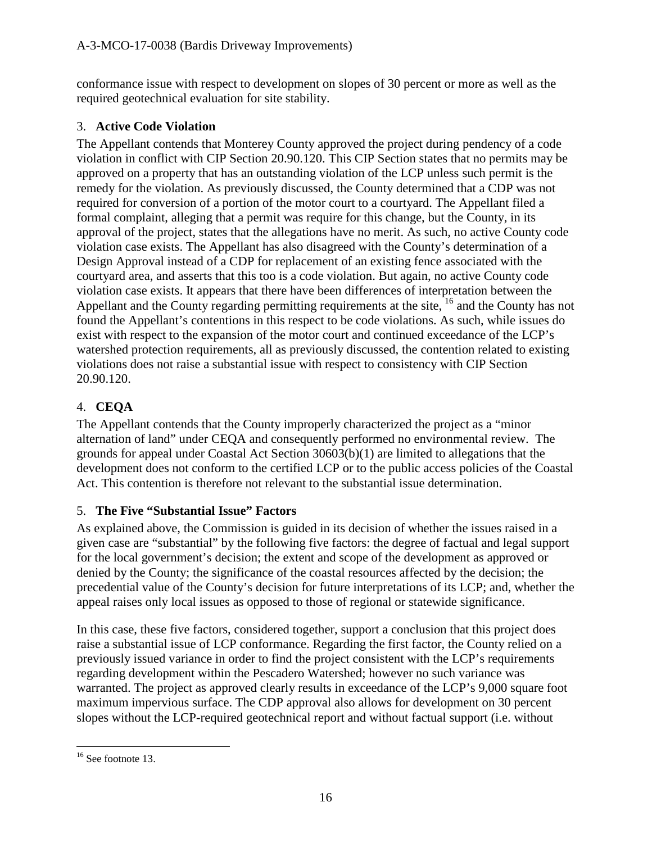conformance issue with respect to development on slopes of 30 percent or more as well as the required geotechnical evaluation for site stability.

## 3. **Active Code Violation**

The Appellant contends that Monterey County approved the project during pendency of a code violation in conflict with CIP Section 20.90.120. This CIP Section states that no permits may be approved on a property that has an outstanding violation of the LCP unless such permit is the remedy for the violation. As previously discussed, the County determined that a CDP was not required for conversion of a portion of the motor court to a courtyard. The Appellant filed a formal complaint, alleging that a permit was require for this change, but the County, in its approval of the project, states that the allegations have no merit. As such, no active County code violation case exists. The Appellant has also disagreed with the County's determination of a Design Approval instead of a CDP for replacement of an existing fence associated with the courtyard area, and asserts that this too is a code violation. But again, no active County code violation case exists. It appears that there have been differences of interpretation between the Appellant and the County regarding permitting requirements at the site, <sup>[16](#page-15-0)</sup> and the County has not found the Appellant's contentions in this respect to be code violations. As such, while issues do exist with respect to the expansion of the motor court and continued exceedance of the LCP's watershed protection requirements, all as previously discussed, the contention related to existing violations does not raise a substantial issue with respect to consistency with CIP Section 20.90.120.

# 4. **CEQA**

The Appellant contends that the County improperly characterized the project as a "minor alternation of land" under CEQA and consequently performed no environmental review. The grounds for appeal under Coastal Act Section 30603(b)(1) are limited to allegations that the development does not conform to the certified LCP or to the public access policies of the Coastal Act. This contention is therefore not relevant to the substantial issue determination.

# 5. **The Five "Substantial Issue" Factors**

As explained above, the Commission is guided in its decision of whether the issues raised in a given case are "substantial" by the following five factors: the degree of factual and legal support for the local government's decision; the extent and scope of the development as approved or denied by the County; the significance of the coastal resources affected by the decision; the precedential value of the County's decision for future interpretations of its LCP; and, whether the appeal raises only local issues as opposed to those of regional or statewide significance.

In this case, these five factors, considered together, support a conclusion that this project does raise a substantial issue of LCP conformance. Regarding the first factor, the County relied on a previously issued variance in order to find the project consistent with the LCP's requirements regarding development within the Pescadero Watershed; however no such variance was warranted. The project as approved clearly results in exceedance of the LCP's 9,000 square foot maximum impervious surface. The CDP approval also allows for development on 30 percent slopes without the LCP-required geotechnical report and without factual support (i.e. without

<span id="page-15-0"></span> $\overline{a}$  $16$  See footnote 13.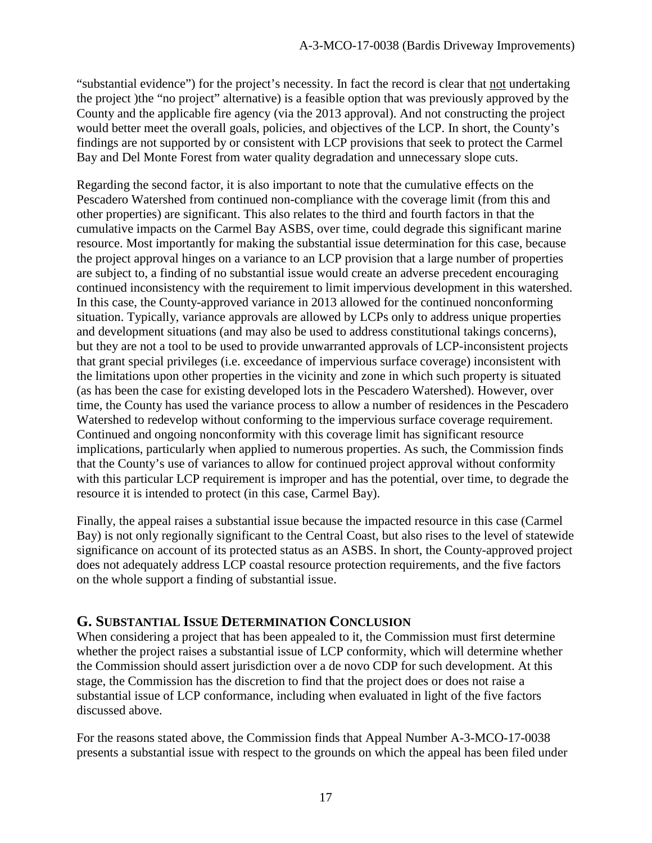"substantial evidence") for the project's necessity. In fact the record is clear that not undertaking the project )the "no project" alternative) is a feasible option that was previously approved by the County and the applicable fire agency (via the 2013 approval). And not constructing the project would better meet the overall goals, policies, and objectives of the LCP. In short, the County's findings are not supported by or consistent with LCP provisions that seek to protect the Carmel Bay and Del Monte Forest from water quality degradation and unnecessary slope cuts.

Regarding the second factor, it is also important to note that the cumulative effects on the Pescadero Watershed from continued non-compliance with the coverage limit (from this and other properties) are significant. This also relates to the third and fourth factors in that the cumulative impacts on the Carmel Bay ASBS, over time, could degrade this significant marine resource. Most importantly for making the substantial issue determination for this case, because the project approval hinges on a variance to an LCP provision that a large number of properties are subject to, a finding of no substantial issue would create an adverse precedent encouraging continued inconsistency with the requirement to limit impervious development in this watershed. In this case, the County-approved variance in 2013 allowed for the continued nonconforming situation. Typically, variance approvals are allowed by LCPs only to address unique properties and development situations (and may also be used to address constitutional takings concerns), but they are not a tool to be used to provide unwarranted approvals of LCP-inconsistent projects that grant special privileges (i.e. exceedance of impervious surface coverage) inconsistent with the limitations upon other properties in the vicinity and zone in which such property is situated (as has been the case for existing developed lots in the Pescadero Watershed). However, over time, the County has used the variance process to allow a number of residences in the Pescadero Watershed to redevelop without conforming to the impervious surface coverage requirement. Continued and ongoing nonconformity with this coverage limit has significant resource implications, particularly when applied to numerous properties. As such, the Commission finds that the County's use of variances to allow for continued project approval without conformity with this particular LCP requirement is improper and has the potential, over time, to degrade the resource it is intended to protect (in this case, Carmel Bay).

Finally, the appeal raises a substantial issue because the impacted resource in this case (Carmel Bay) is not only regionally significant to the Central Coast, but also rises to the level of statewide significance on account of its protected status as an ASBS. In short, the County-approved project does not adequately address LCP coastal resource protection requirements, and the five factors on the whole support a finding of substantial issue.

#### **G. SUBSTANTIAL ISSUE DETERMINATION CONCLUSION**

When considering a project that has been appealed to it, the Commission must first determine whether the project raises a substantial issue of LCP conformity, which will determine whether the Commission should assert jurisdiction over a de novo CDP for such development. At this stage, the Commission has the discretion to find that the project does or does not raise a substantial issue of LCP conformance, including when evaluated in light of the five factors discussed above.

For the reasons stated above, the Commission finds that Appeal Number A-3-MCO-17-0038 presents a substantial issue with respect to the grounds on which the appeal has been filed under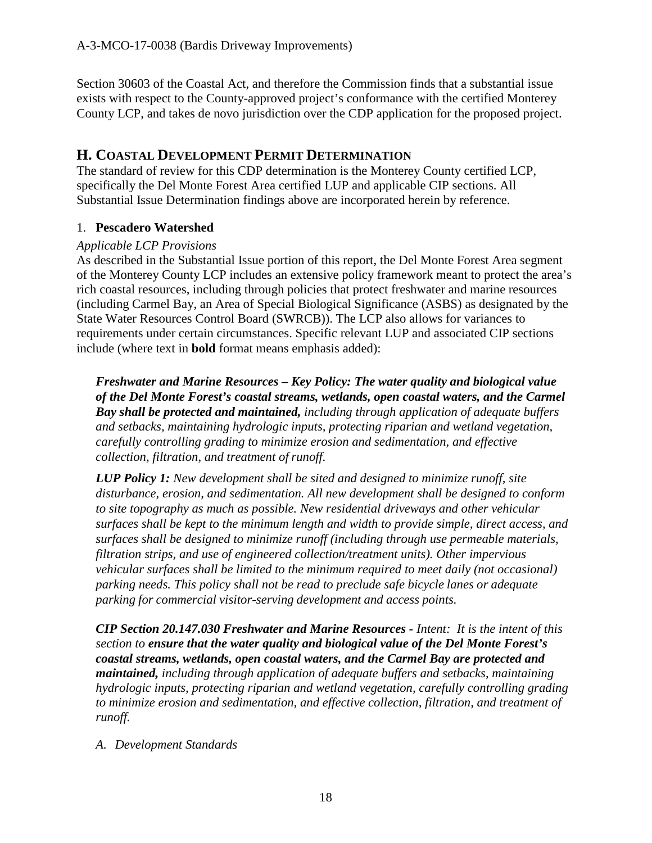Section 30603 of the Coastal Act, and therefore the Commission finds that a substantial issue exists with respect to the County-approved project's conformance with the certified Monterey County LCP, and takes de novo jurisdiction over the CDP application for the proposed project.

#### **H. COASTAL DEVELOPMENT PERMIT DETERMINATION**

The standard of review for this CDP determination is the Monterey County certified LCP, specifically the Del Monte Forest Area certified LUP and applicable CIP sections. All Substantial Issue Determination findings above are incorporated herein by reference.

#### 1. **Pescadero Watershed**

#### *Applicable LCP Provisions*

As described in the Substantial Issue portion of this report, the Del Monte Forest Area segment of the Monterey County LCP includes an extensive policy framework meant to protect the area's rich coastal resources, including through policies that protect freshwater and marine resources (including Carmel Bay, an Area of Special Biological Significance (ASBS) as designated by the State Water Resources Control Board (SWRCB)). The LCP also allows for variances to requirements under certain circumstances. Specific relevant LUP and associated CIP sections include (where text in **bold** format means emphasis added):

*Freshwater and Marine Resources – Key Policy: The water quality and biological value of the Del Monte Forest's coastal streams, wetlands, open coastal waters, and the Carmel Bay shall be protected and maintained, including through application of adequate buffers and setbacks, maintaining hydrologic inputs, protecting riparian and wetland vegetation, carefully controlling grading to minimize erosion and sedimentation, and effective collection, filtration, and treatment of runoff.* 

*LUP Policy 1: New development shall be sited and designed to minimize runoff, site disturbance, erosion, and sedimentation. All new development shall be designed to conform to site topography as much as possible. New residential driveways and other vehicular surfaces shall be kept to the minimum length and width to provide simple, direct access, and surfaces shall be designed to minimize runoff (including through use permeable materials, filtration strips, and use of engineered collection/treatment units). Other impervious vehicular surfaces shall be limited to the minimum required to meet daily (not occasional) parking needs. This policy shall not be read to preclude safe bicycle lanes or adequate parking for commercial visitor-serving development and access points.* 

*CIP Section 20.147.030 Freshwater and Marine Resources - Intent: It is the intent of this section to ensure that the water quality and biological value of the Del Monte Forest's coastal streams, wetlands, open coastal waters, and the Carmel Bay are protected and maintained, including through application of adequate buffers and setbacks, maintaining hydrologic inputs, protecting riparian and wetland vegetation, carefully controlling grading to minimize erosion and sedimentation, and effective collection, filtration, and treatment of runoff.* 

#### *A. Development Standards*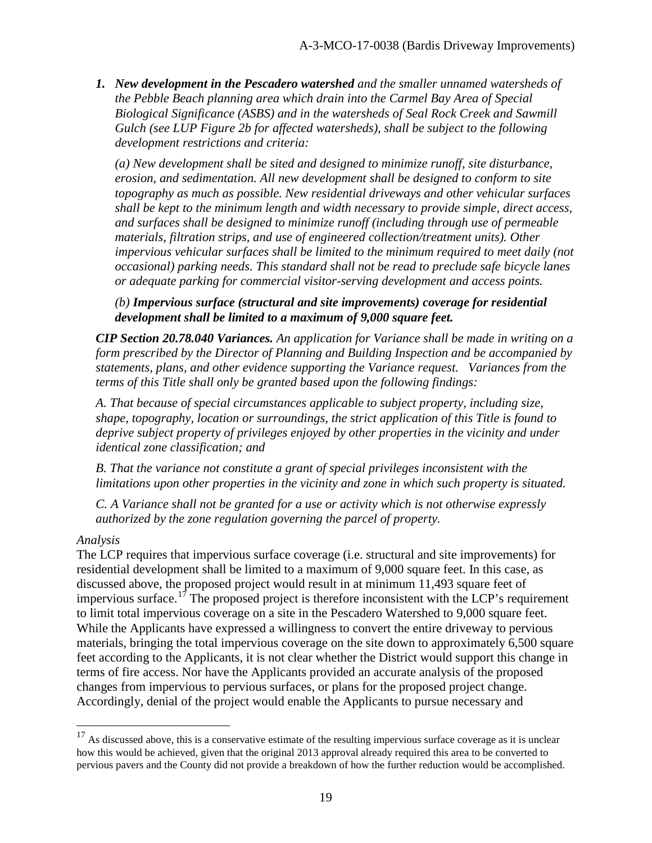*1. New development in the Pescadero watershed and the smaller unnamed watersheds of the Pebble Beach planning area which drain into the Carmel Bay Area of Special Biological Significance (ASBS) and in the watersheds of Seal Rock Creek and Sawmill Gulch (see LUP Figure 2b for affected watersheds), shall be subject to the following development restrictions and criteria:* 

*(a) New development shall be sited and designed to minimize runoff, site disturbance, erosion, and sedimentation. All new development shall be designed to conform to site topography as much as possible. New residential driveways and other vehicular surfaces shall be kept to the minimum length and width necessary to provide simple, direct access, and surfaces shall be designed to minimize runoff (including through use of permeable materials, filtration strips, and use of engineered collection/treatment units). Other impervious vehicular surfaces shall be limited to the minimum required to meet daily (not occasional) parking needs. This standard shall not be read to preclude safe bicycle lanes or adequate parking for commercial visitor-serving development and access points.* 

*(b) Impervious surface (structural and site improvements) coverage for residential development shall be limited to a maximum of 9,000 square feet.* 

*CIP Section 20.78.040 Variances. An application for Variance shall be made in writing on a form prescribed by the Director of Planning and Building Inspection and be accompanied by statements, plans, and other evidence supporting the Variance request. Variances from the terms of this Title shall only be granted based upon the following findings:* 

*A. That because of special circumstances applicable to subject property, including size, shape, topography, location or surroundings, the strict application of this Title is found to deprive subject property of privileges enjoyed by other properties in the vicinity and under identical zone classification; and* 

*B. That the variance not constitute a grant of special privileges inconsistent with the limitations upon other properties in the vicinity and zone in which such property is situated.* 

*C. A Variance shall not be granted for a use or activity which is not otherwise expressly authorized by the zone regulation governing the parcel of property.*

#### *Analysis*

 $\overline{a}$ 

The LCP requires that impervious surface coverage (i.e. structural and site improvements) for residential development shall be limited to a maximum of 9,000 square feet. In this case, as discussed above, the proposed project would result in at minimum 11,493 square feet of impervious surface.<sup>[17](#page-18-0)</sup> The proposed project is therefore inconsistent with the LCP's requirement to limit total impervious coverage on a site in the Pescadero Watershed to 9,000 square feet. While the Applicants have expressed a willingness to convert the entire driveway to pervious materials, bringing the total impervious coverage on the site down to approximately 6,500 square feet according to the Applicants, it is not clear whether the District would support this change in terms of fire access. Nor have the Applicants provided an accurate analysis of the proposed changes from impervious to pervious surfaces, or plans for the proposed project change. Accordingly, denial of the project would enable the Applicants to pursue necessary and

<span id="page-18-0"></span> $17$  As discussed above, this is a conservative estimate of the resulting impervious surface coverage as it is unclear how this would be achieved, given that the original 2013 approval already required this area to be converted to pervious pavers and the County did not provide a breakdown of how the further reduction would be accomplished.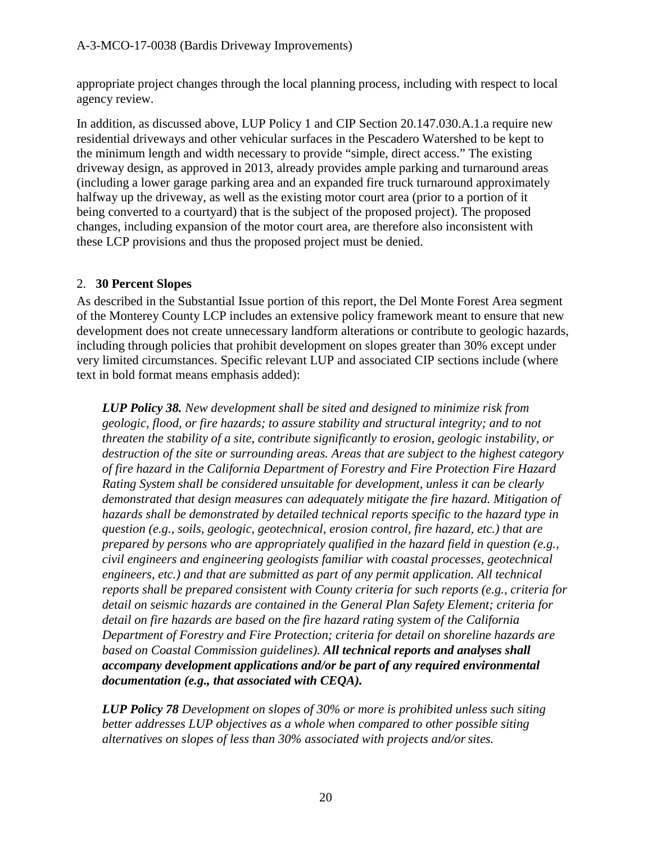appropriate project changes through the local planning process, including with respect to local agency review.

In addition, as discussed above, LUP Policy 1 and CIP Section 20.147.030.A.1.a require new residential driveways and other vehicular surfaces in the Pescadero Watershed to be kept to the minimum length and width necessary to provide "simple, direct access." The existing driveway design, as approved in 2013, already provides ample parking and turnaround areas (including a lower garage parking area and an expanded fire truck turnaround approximately halfway up the driveway, as well as the existing motor court area (prior to a portion of it being converted to a courtyard) that is the subject of the proposed project). The proposed changes, including expansion of the motor court area, are therefore also inconsistent with these LCP provisions and thus the proposed project must be denied.

#### 2. **30 Percent Slopes**

As described in the Substantial Issue portion of this report, the Del Monte Forest Area segment of the Monterey County LCP includes an extensive policy framework meant to ensure that new development does not create unnecessary landform alterations or contribute to geologic hazards, including through policies that prohibit development on slopes greater than 30% except under very limited circumstances. Specific relevant LUP and associated CIP sections include (where text in bold format means emphasis added):

*LUP Policy 38. New development shall be sited and designed to minimize risk from geologic, flood, or fire hazards; to assure stability and structural integrity; and to not threaten the stability of a site, contribute significantly to erosion, geologic instability, or destruction of the site or surrounding areas. Areas that are subject to the highest category of fire hazard in the California Department of Forestry and Fire Protection Fire Hazard Rating System shall be considered unsuitable for development, unless it can be clearly demonstrated that design measures can adequately mitigate the fire hazard. Mitigation of hazards shall be demonstrated by detailed technical reports specific to the hazard type in question (e.g., soils, geologic, geotechnical, erosion control, fire hazard, etc.) that are prepared by persons who are appropriately qualified in the hazard field in question (e.g., civil engineers and engineering geologists familiar with coastal processes, geotechnical engineers, etc.) and that are submitted as part of any permit application. All technical reports shall be prepared consistent with County criteria for such reports (e.g., criteria for detail on seismic hazards are contained in the General Plan Safety Element; criteria for detail on fire hazards are based on the fire hazard rating system of the California Department of Forestry and Fire Protection; criteria for detail on shoreline hazards are based on Coastal Commission guidelines). All technical reports and analyses shall accompany development applications and/or be part of any required environmental documentation (e.g., that associated with CEQA).*

*LUP Policy 78 Development on slopes of 30% or more is prohibited unless such siting better addresses LUP objectives as a whole when compared to other possible siting alternatives on slopes of less than 30% associated with projects and/or sites.*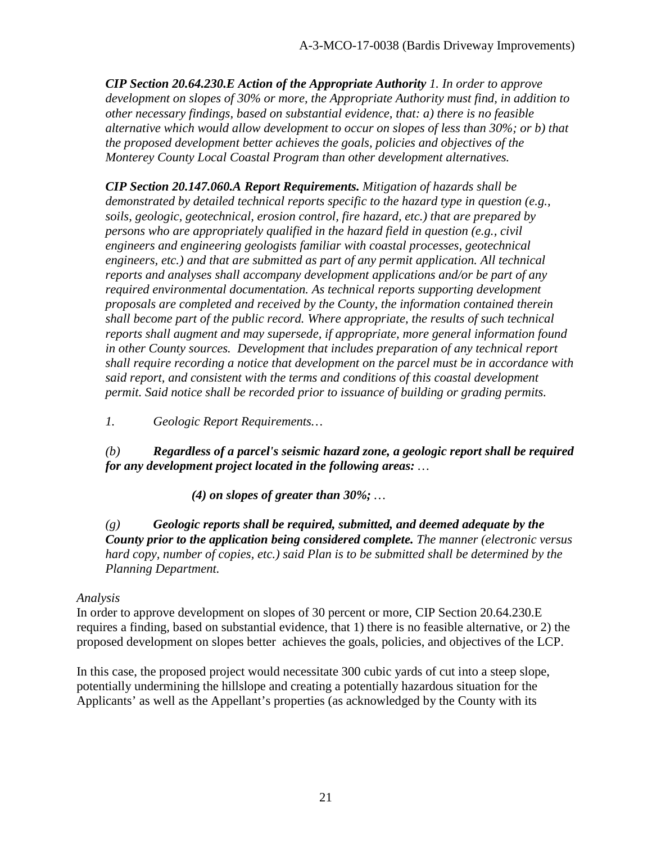*CIP Section 20.64.230.E Action of the Appropriate Authority 1. In order to approve development on slopes of 30% or more, the Appropriate Authority must find, in addition to other necessary findings, based on substantial evidence, that: a) there is no feasible alternative which would allow development to occur on slopes of less than 30%; or b) that the proposed development better achieves the goals, policies and objectives of the Monterey County Local Coastal Program than other development alternatives.* 

*CIP Section 20.147.060.A Report Requirements. Mitigation of hazards shall be demonstrated by detailed technical reports specific to the hazard type in question (e.g., soils, geologic, geotechnical, erosion control, fire hazard, etc.) that are prepared by persons who are appropriately qualified in the hazard field in question (e.g., civil engineers and engineering geologists familiar with coastal processes, geotechnical engineers, etc.) and that are submitted as part of any permit application. All technical reports and analyses shall accompany development applications and/or be part of any required environmental documentation. As technical reports supporting development proposals are completed and received by the County, the information contained therein shall become part of the public record. Where appropriate, the results of such technical reports shall augment and may supersede, if appropriate, more general information found in other County sources. Development that includes preparation of any technical report shall require recording a notice that development on the parcel must be in accordance with said report, and consistent with the terms and conditions of this coastal development permit. Said notice shall be recorded prior to issuance of building or grading permits.* 

*1. Geologic Report Requirements…* 

*(b) Regardless of a parcel's seismic hazard zone, a geologic report shall be required for any development project located in the following areas: …* 

*(4) on slopes of greater than 30%; …* 

*(g) Geologic reports shall be required, submitted, and deemed adequate by the County prior to the application being considered complete. The manner (electronic versus hard copy, number of copies, etc.) said Plan is to be submitted shall be determined by the Planning Department.* 

#### *Analysis*

In order to approve development on slopes of 30 percent or more, CIP Section 20.64.230.E requires a finding, based on substantial evidence, that 1) there is no feasible alternative, or 2) the proposed development on slopes better achieves the goals, policies, and objectives of the LCP.

In this case, the proposed project would necessitate 300 cubic yards of cut into a steep slope, potentially undermining the hillslope and creating a potentially hazardous situation for the Applicants' as well as the Appellant's properties (as acknowledged by the County with its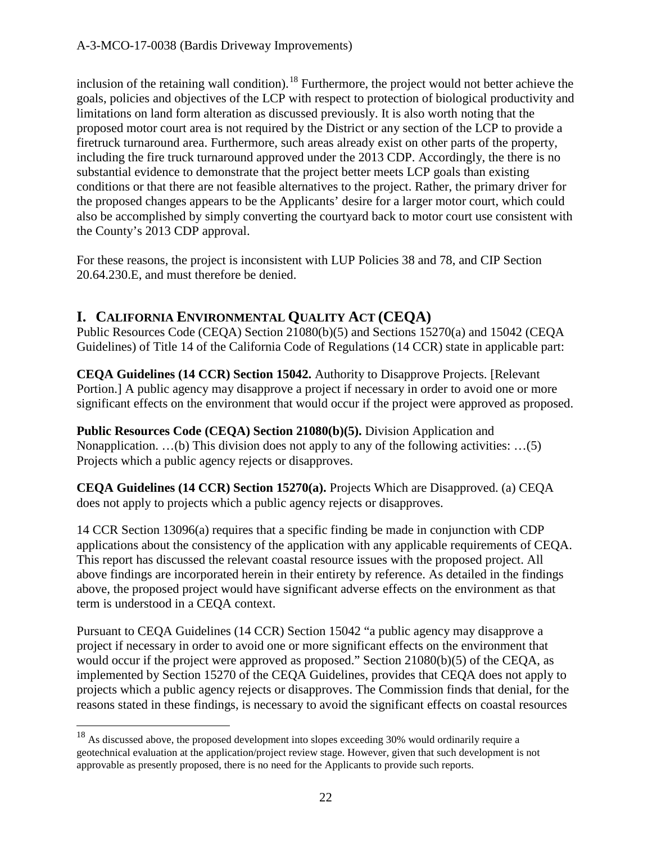inclusion of the retaining wall condition).<sup>[18](#page-21-0)</sup> Furthermore, the project would not better achieve the goals, policies and objectives of the LCP with respect to protection of biological productivity and limitations on land form alteration as discussed previously. It is also worth noting that the proposed motor court area is not required by the District or any section of the LCP to provide a firetruck turnaround area. Furthermore, such areas already exist on other parts of the property, including the fire truck turnaround approved under the 2013 CDP. Accordingly, the there is no substantial evidence to demonstrate that the project better meets LCP goals than existing conditions or that there are not feasible alternatives to the project. Rather, the primary driver for the proposed changes appears to be the Applicants' desire for a larger motor court, which could also be accomplished by simply converting the courtyard back to motor court use consistent with the County's 2013 CDP approval.

For these reasons, the project is inconsistent with LUP Policies 38 and 78, and CIP Section 20.64.230.E, and must therefore be denied.

# **I. CALIFORNIA ENVIRONMENTAL QUALITY ACT (CEQA)**

Public Resources Code (CEQA) Section 21080(b)(5) and Sections 15270(a) and 15042 (CEQA Guidelines) of Title 14 of the California Code of Regulations (14 CCR) state in applicable part:

**CEQA Guidelines (14 CCR) Section 15042.** Authority to Disapprove Projects. [Relevant Portion.] A public agency may disapprove a project if necessary in order to avoid one or more significant effects on the environment that would occur if the project were approved as proposed.

**Public Resources Code (CEQA) Section 21080(b)(5).** Division Application and Nonapplication. …(b) This division does not apply to any of the following activities: …(5) Projects which a public agency rejects or disapproves.

**CEQA Guidelines (14 CCR) Section 15270(a).** Projects Which are Disapproved. (a) CEQA does not apply to projects which a public agency rejects or disapproves.

14 CCR Section 13096(a) requires that a specific finding be made in conjunction with CDP applications about the consistency of the application with any applicable requirements of CEQA. This report has discussed the relevant coastal resource issues with the proposed project. All above findings are incorporated herein in their entirety by reference. As detailed in the findings above, the proposed project would have significant adverse effects on the environment as that term is understood in a CEQA context.

Pursuant to CEQA Guidelines (14 CCR) Section 15042 "a public agency may disapprove a project if necessary in order to avoid one or more significant effects on the environment that would occur if the project were approved as proposed." Section 21080(b)(5) of the CEQA, as implemented by Section 15270 of the CEQA Guidelines, provides that CEQA does not apply to projects which a public agency rejects or disapproves. The Commission finds that denial, for the reasons stated in these findings, is necessary to avoid the significant effects on coastal resources

<span id="page-21-0"></span> $18$  As discussed above, the proposed development into slopes exceeding 30% would ordinarily require a geotechnical evaluation at the application/project review stage. However, given that such development is not approvable as presently proposed, there is no need for the Applicants to provide such reports.